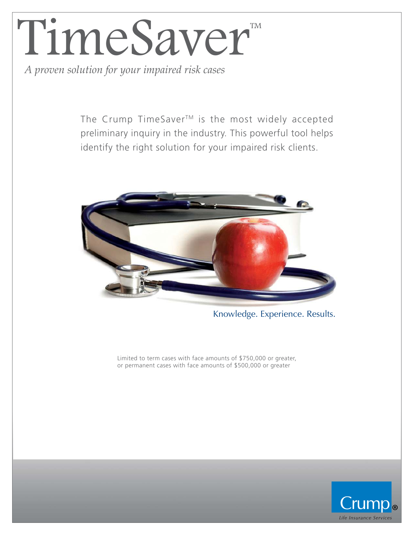# TimeSaver<sup>®</sup>

*A proven solution for your impaired risk cases*

The Crump TimeSaver<sup>™</sup> is the most widely accepted preliminary inquiry in the industry. This powerful tool helps identify the right solution for your impaired risk clients.



Knowledge. Experience. Results.

Limited to term cases with face amounts of \$750,000 or greater, or permanent cases with face amounts of \$500,000 or greater

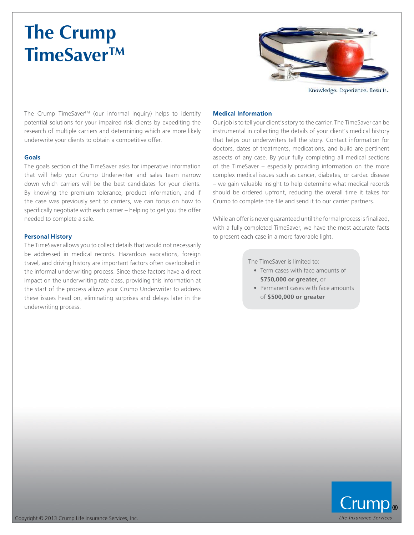### **The Crump TimeSaverTM**



Knowledge. Experience. Results.

The Crump TimeSaver<sup>TM</sup> (our informal inquiry) helps to identify potential solutions for your impaired risk clients by expediting the research of multiple carriers and determining which are more likely underwrite your clients to obtain a competitive offer.

#### **Goals**

The goals section of the TimeSaver asks for imperative information that will help your Crump Underwriter and sales team narrow down which carriers will be the best candidates for your clients. By knowing the premium tolerance, product information, and if the case was previously sent to carriers, we can focus on how to specifically negotiate with each carrier – helping to get you the offer needed to complete a sale.

#### **Personal History**

The TimeSaver allows you to collect details that would not necessarily be addressed in medical records. Hazardous avocations, foreign travel, and driving history are important factors often overlooked in the informal underwriting process. Since these factors have a direct impact on the underwriting rate class, providing this information at the start of the process allows your Crump Underwriter to address these issues head on, eliminating surprises and delays later in the underwriting process.

#### **Medical Information**

Our job is to tell your client's story to the carrier. The TimeSaver can be instrumental in collecting the details of your client's medical history that helps our underwriters tell the story. Contact information for doctors, dates of treatments, medications, and build are pertinent aspects of any case. By your fully completing all medical sections of the TimeSaver – especially providing information on the more complex medical issues such as cancer, diabetes, or cardac disease – we gain valuable insight to help determine what medical records should be ordered upfront, reducing the overall time it takes for Crump to complete the file and send it to our carrier partners.

While an offer is never guaranteed until the formal process is finalized, with a fully completed TimeSaver, we have the most accurate facts to present each case in a more favorable light.

The TimeSaver is limited to:

- Term cases with face amounts of **\$750,000 or greater**, or
- Permanent cases with face amounts of **\$500,000 or greater**

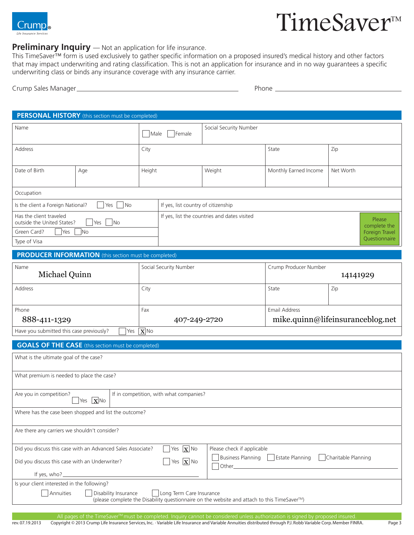

#### **Preliminary Inquiry** — Not an application for life insurance.

This TimeSaver™ form is used exclusively to gather specific information on a proposed insured's medical history and other factors that may impact underwriting and rating classification. This is not an application for insurance and in no way guarantees a specific underwriting class or binds any insurance coverage with any insurance carrier.

| Crump Sales Manager                                                                                             | Phone |  |
|-----------------------------------------------------------------------------------------------------------------|-------|--|
| the contract of the contract of the contract of the contract of the contract of the contract of the contract of |       |  |

|                                                                           | PERSONAL HISTORY (this section must be completed) |        |                                     |                                              |                       |                                 |                        |
|---------------------------------------------------------------------------|---------------------------------------------------|--------|-------------------------------------|----------------------------------------------|-----------------------|---------------------------------|------------------------|
| Name                                                                      |                                                   | Male   | Female                              | Social Security Number                       |                       |                                 |                        |
| Address                                                                   |                                                   | City   |                                     | State                                        | Zip                   |                                 |                        |
| Date of Birth                                                             | Age                                               | Height |                                     | Weight                                       | Monthly Earned Income | Net Worth                       |                        |
| Occupation                                                                |                                                   |        |                                     |                                              |                       |                                 |                        |
| $\overline{\phantom{a}}$ No<br>Is the client a Foreign National?<br>Yes   |                                                   |        | If yes, list country of citizenship |                                              |                       |                                 |                        |
| Has the client traveled<br><b>No</b><br>outside the United States?<br>Yes |                                                   |        |                                     | If yes, list the countries and dates visited |                       |                                 | Please<br>complete the |
| N <sub>O</sub><br>Green Card?<br>Yes<br>Type of Visa                      |                                                   |        |                                     |                                              |                       | Foreign Travel<br>Questionnaire |                        |

#### **PRODUCER INFORMATION** (this section must be completed)

| Name                                                                                                                                                                                                                                             | Social Security Number | Crump Producer Number            |          |  |
|--------------------------------------------------------------------------------------------------------------------------------------------------------------------------------------------------------------------------------------------------|------------------------|----------------------------------|----------|--|
| Michael Quinn                                                                                                                                                                                                                                    |                        |                                  | 14141929 |  |
| Address                                                                                                                                                                                                                                          | City                   | State                            | Zip      |  |
|                                                                                                                                                                                                                                                  |                        |                                  |          |  |
| Phone                                                                                                                                                                                                                                            | Fax                    | Email Address                    |          |  |
| 888-411-1329                                                                                                                                                                                                                                     | 407-249-2720           | mike.quinn@lifeinsuranceblog.net |          |  |
| الملبسا بالبار<br>the contract of the state of the contract of the contract of the contract of the contract of the contract of the contract of the contract of the contract of the contract of the contract of the contract of the contract of t |                        |                                  |          |  |

Have you submitted this case previously? | | Yes  $|\mathbf{X}|$  No

#### **GOALS OF THE CASE** (this section must be completed)

| What is the ultimate goal of the case?                      |                                                                                                                                     |
|-------------------------------------------------------------|-------------------------------------------------------------------------------------------------------------------------------------|
| What premium is needed to place the case?                   |                                                                                                                                     |
|                                                             |                                                                                                                                     |
| Are you in competition?<br>$x$ No<br>Yes                    | If in competition, with what companies?                                                                                             |
| Where has the case been shopped and list the outcome?       |                                                                                                                                     |
| Are there any carriers we shouldn't consider?               |                                                                                                                                     |
| Did you discuss this case with an Advanced Sales Associate? | Yes $\boxed{\mathbf{X}}$ No<br>Please check if applicable                                                                           |
| Did you discuss this case with an Underwriter?              | Business Planning   Estate Planning<br>Charitable Planning<br>Yes $\boxed{\mathbf{X}}$ No<br>Other_                                 |
|                                                             |                                                                                                                                     |
| Is your client interested in the following?                 |                                                                                                                                     |
| Disability Insurance<br>Annuities                           | Long Term Care Insurance<br>(please complete the Disability questionnaire on the website and attach to this TimeSaver <sup>™)</sup> |
|                                                             |                                                                                                                                     |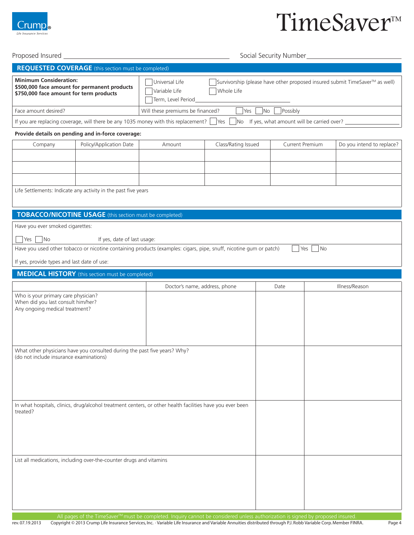

#### Proposed Insured Social Security Number

|                                                                                                                          | <b>REQUESTED COVERAGE</b> (this section must be completed)                                                                                        |                                                                                                                                                    |                     |                                                            |      |                           |  |
|--------------------------------------------------------------------------------------------------------------------------|---------------------------------------------------------------------------------------------------------------------------------------------------|----------------------------------------------------------------------------------------------------------------------------------------------------|---------------------|------------------------------------------------------------|------|---------------------------|--|
| <b>Minimum Consideration:</b><br>\$500,000 face amount for permanent products<br>\$750,000 face amount for term products |                                                                                                                                                   | Universal Life<br>Survivorship (please have other proposed insured submit TimeSaver™ as well)<br>Variable Life<br>Whole Life<br>Term, Level Period |                     |                                                            |      |                           |  |
| Face amount desired?                                                                                                     |                                                                                                                                                   | Possibly<br>Will these premiums be financed?<br>Yes<br>N <sub>o</sub>                                                                              |                     |                                                            |      |                           |  |
|                                                                                                                          | If you are replacing coverage, will there be any 1035 money with this replacement?                                                                |                                                                                                                                                    | Yes                 | $\Box$ No If yes, what amount will be carried over? $\Box$ |      |                           |  |
|                                                                                                                          | Provide details on pending and in-force coverage:                                                                                                 |                                                                                                                                                    |                     |                                                            |      |                           |  |
| Company                                                                                                                  | Policy/Application Date                                                                                                                           | Amount                                                                                                                                             | Class/Rating Issued | <b>Current Premium</b>                                     |      | Do you intend to replace? |  |
|                                                                                                                          |                                                                                                                                                   |                                                                                                                                                    |                     |                                                            |      |                           |  |
|                                                                                                                          |                                                                                                                                                   |                                                                                                                                                    |                     |                                                            |      |                           |  |
|                                                                                                                          |                                                                                                                                                   |                                                                                                                                                    |                     |                                                            |      |                           |  |
|                                                                                                                          | Life Settlements: Indicate any activity in the past five years                                                                                    |                                                                                                                                                    |                     |                                                            |      |                           |  |
|                                                                                                                          |                                                                                                                                                   |                                                                                                                                                    |                     |                                                            |      |                           |  |
|                                                                                                                          | <b>TOBACCO/NICOTINE USAGE</b> (this section must be completed)                                                                                    |                                                                                                                                                    |                     |                                                            |      |                           |  |
| Have you ever smoked cigarettes:                                                                                         |                                                                                                                                                   |                                                                                                                                                    |                     |                                                            |      |                           |  |
|                                                                                                                          |                                                                                                                                                   |                                                                                                                                                    |                     |                                                            |      |                           |  |
| $\overline{\phantom{a}}$ No<br>Yes                                                                                       | If yes, date of last usage:<br>Have you used other tobacco or nicotine containing products (examples: cigars, pipe, snuff, nicotine gum or patch) |                                                                                                                                                    |                     | Yes                                                        | l No |                           |  |
|                                                                                                                          |                                                                                                                                                   |                                                                                                                                                    |                     |                                                            |      |                           |  |
| If yes, provide types and last date of use:                                                                              |                                                                                                                                                   |                                                                                                                                                    |                     |                                                            |      |                           |  |
|                                                                                                                          | <b>MEDICAL HISTORY</b> (this section must be completed)                                                                                           |                                                                                                                                                    |                     |                                                            |      |                           |  |
|                                                                                                                          |                                                                                                                                                   | Doctor's name, address, phone                                                                                                                      |                     | Date                                                       |      | Illness/Reason            |  |
| Who is your primary care physician?<br>When did you last consult him/her?                                                |                                                                                                                                                   |                                                                                                                                                    |                     |                                                            |      |                           |  |
| Any ongoing medical treatment?                                                                                           |                                                                                                                                                   |                                                                                                                                                    |                     |                                                            |      |                           |  |
|                                                                                                                          |                                                                                                                                                   |                                                                                                                                                    |                     |                                                            |      |                           |  |
|                                                                                                                          |                                                                                                                                                   |                                                                                                                                                    |                     |                                                            |      |                           |  |
|                                                                                                                          |                                                                                                                                                   |                                                                                                                                                    |                     |                                                            |      |                           |  |
| What other physicians have you consulted during the past five years? Why?<br>(do not include insurance examinations)     |                                                                                                                                                   |                                                                                                                                                    |                     |                                                            |      |                           |  |
|                                                                                                                          |                                                                                                                                                   |                                                                                                                                                    |                     |                                                            |      |                           |  |
|                                                                                                                          |                                                                                                                                                   |                                                                                                                                                    |                     |                                                            |      |                           |  |
|                                                                                                                          |                                                                                                                                                   |                                                                                                                                                    |                     |                                                            |      |                           |  |
|                                                                                                                          |                                                                                                                                                   |                                                                                                                                                    |                     |                                                            |      |                           |  |
| treated?                                                                                                                 | In what hospitals, clinics, drug/alcohol treatment centers, or other health facilities have you ever been                                         |                                                                                                                                                    |                     |                                                            |      |                           |  |
|                                                                                                                          |                                                                                                                                                   |                                                                                                                                                    |                     |                                                            |      |                           |  |
|                                                                                                                          |                                                                                                                                                   |                                                                                                                                                    |                     |                                                            |      |                           |  |
|                                                                                                                          |                                                                                                                                                   |                                                                                                                                                    |                     |                                                            |      |                           |  |
|                                                                                                                          |                                                                                                                                                   |                                                                                                                                                    |                     |                                                            |      |                           |  |
|                                                                                                                          | List all medications, including over-the-counter drugs and vitamins                                                                               |                                                                                                                                                    |                     |                                                            |      |                           |  |
|                                                                                                                          |                                                                                                                                                   |                                                                                                                                                    |                     |                                                            |      |                           |  |
|                                                                                                                          |                                                                                                                                                   |                                                                                                                                                    |                     |                                                            |      |                           |  |
|                                                                                                                          |                                                                                                                                                   |                                                                                                                                                    |                     |                                                            |      |                           |  |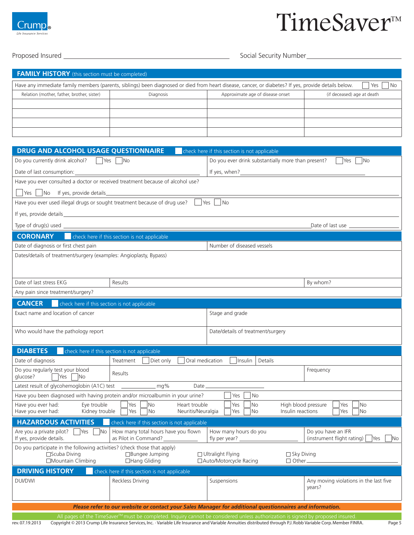

#### Proposed Insured Social Security Number

| <b>FAMILY HISTORY</b> (this section must be completed)                                                                                                             |           |                                  |                            |  |  |  |  |
|--------------------------------------------------------------------------------------------------------------------------------------------------------------------|-----------|----------------------------------|----------------------------|--|--|--|--|
| Have any immediate family members (parents, siblings) been diagnosed or died from heart disease, cancer, or diabetes? If yes, provide details below.<br>Yes<br>No. |           |                                  |                            |  |  |  |  |
| Relation (mother, father, brother, sister)                                                                                                                         | Diagnosis | Approximate age of disease onset | (if deceased) age at death |  |  |  |  |
|                                                                                                                                                                    |           |                                  |                            |  |  |  |  |
|                                                                                                                                                                    |           |                                  |                            |  |  |  |  |
|                                                                                                                                                                    |           |                                  |                            |  |  |  |  |
|                                                                                                                                                                    |           |                                  |                            |  |  |  |  |

| Do you currently drink alcohol?   Yes  <br>Do you ever drink substantially more than present?<br><b>No</b><br>$\vert$ No<br><b>Yes</b><br>Date of last consumption:<br><u> 1980 - Johann Barn, mars ann an t-Amhain Aonaich an t-Aonaich an t-Aonaich ann an t-Aonaich ann an t-Aonaich</u><br>Have you ever consulted a doctor or received treatment because of alcohol use?<br>$\Box$ Yes $\Box$ No If yes, provide details<br>Have you ever used illegal drugs or sought treatment because of drug use? $\Box$ Yes $\Box$ No<br>check here if this section is not applicable<br><b>CORONARY</b><br>Date of diagnosis or first chest pain<br>Number of diseased vessels<br>Dates/details of treatment/surgery (examples: Angioplasty, Bypass) |    |  |  |  |  |  |
|-------------------------------------------------------------------------------------------------------------------------------------------------------------------------------------------------------------------------------------------------------------------------------------------------------------------------------------------------------------------------------------------------------------------------------------------------------------------------------------------------------------------------------------------------------------------------------------------------------------------------------------------------------------------------------------------------------------------------------------------------|----|--|--|--|--|--|
|                                                                                                                                                                                                                                                                                                                                                                                                                                                                                                                                                                                                                                                                                                                                                 |    |  |  |  |  |  |
|                                                                                                                                                                                                                                                                                                                                                                                                                                                                                                                                                                                                                                                                                                                                                 |    |  |  |  |  |  |
|                                                                                                                                                                                                                                                                                                                                                                                                                                                                                                                                                                                                                                                                                                                                                 |    |  |  |  |  |  |
|                                                                                                                                                                                                                                                                                                                                                                                                                                                                                                                                                                                                                                                                                                                                                 |    |  |  |  |  |  |
|                                                                                                                                                                                                                                                                                                                                                                                                                                                                                                                                                                                                                                                                                                                                                 |    |  |  |  |  |  |
|                                                                                                                                                                                                                                                                                                                                                                                                                                                                                                                                                                                                                                                                                                                                                 |    |  |  |  |  |  |
|                                                                                                                                                                                                                                                                                                                                                                                                                                                                                                                                                                                                                                                                                                                                                 |    |  |  |  |  |  |
|                                                                                                                                                                                                                                                                                                                                                                                                                                                                                                                                                                                                                                                                                                                                                 |    |  |  |  |  |  |
|                                                                                                                                                                                                                                                                                                                                                                                                                                                                                                                                                                                                                                                                                                                                                 |    |  |  |  |  |  |
|                                                                                                                                                                                                                                                                                                                                                                                                                                                                                                                                                                                                                                                                                                                                                 |    |  |  |  |  |  |
|                                                                                                                                                                                                                                                                                                                                                                                                                                                                                                                                                                                                                                                                                                                                                 |    |  |  |  |  |  |
| Date of last stress EKG<br>By whom?<br>Results                                                                                                                                                                                                                                                                                                                                                                                                                                                                                                                                                                                                                                                                                                  |    |  |  |  |  |  |
| Any pain since treatment/surgery?                                                                                                                                                                                                                                                                                                                                                                                                                                                                                                                                                                                                                                                                                                               |    |  |  |  |  |  |
| <b>CANCER</b><br>check here if this section is not applicable                                                                                                                                                                                                                                                                                                                                                                                                                                                                                                                                                                                                                                                                                   |    |  |  |  |  |  |
| Exact name and location of cancer<br>Stage and grade                                                                                                                                                                                                                                                                                                                                                                                                                                                                                                                                                                                                                                                                                            |    |  |  |  |  |  |
|                                                                                                                                                                                                                                                                                                                                                                                                                                                                                                                                                                                                                                                                                                                                                 |    |  |  |  |  |  |
| Who would have the pathology report<br>Date/details of treatment/surgery                                                                                                                                                                                                                                                                                                                                                                                                                                                                                                                                                                                                                                                                        |    |  |  |  |  |  |
| <b>DIABETES</b><br>check here if this section is not applicable                                                                                                                                                                                                                                                                                                                                                                                                                                                                                                                                                                                                                                                                                 |    |  |  |  |  |  |
| Date of diagnosis<br>Oral medication<br>Insulin<br>Treatment<br>Diet only<br>Details                                                                                                                                                                                                                                                                                                                                                                                                                                                                                                                                                                                                                                                            |    |  |  |  |  |  |
| Do you regularly test your blood<br>Frequency                                                                                                                                                                                                                                                                                                                                                                                                                                                                                                                                                                                                                                                                                                   |    |  |  |  |  |  |
| Results<br>glucose?<br><b>TYes</b><br><b>No</b>                                                                                                                                                                                                                                                                                                                                                                                                                                                                                                                                                                                                                                                                                                 |    |  |  |  |  |  |
| Latest result of glycohemoglobin (A1C) test __________________ mg%<br>$Date$ <sub>—</sub>                                                                                                                                                                                                                                                                                                                                                                                                                                                                                                                                                                                                                                                       |    |  |  |  |  |  |
| Have you been diagnosed with having protein and/or microalbumin in your urine?<br>Yes<br>  No                                                                                                                                                                                                                                                                                                                                                                                                                                                                                                                                                                                                                                                   |    |  |  |  |  |  |
| Yes<br>Eye trouble<br>$\overline{\phantom{1}}$ No<br>Have you ever had:<br>Heart trouble<br>No<br>High blood pressure<br>Yes<br>Yes<br>l No<br>Have you ever had:<br>Kidney trouble<br>Neuritis/Neuralgia<br>Insulin reactions<br>$Yes \mid No$<br>No.<br>Yes<br>l No<br>Yes                                                                                                                                                                                                                                                                                                                                                                                                                                                                    |    |  |  |  |  |  |
| <b>HAZARDOUS ACTIVITIES</b><br>check here if this section is not applicable                                                                                                                                                                                                                                                                                                                                                                                                                                                                                                                                                                                                                                                                     |    |  |  |  |  |  |
| Are you a private pilot? $\Box$ Yes $\Box$ No<br>How many total hours have you flown<br>Do you have an IFR<br>How many hours do you<br>(instrument flight rating)   Yes<br>If yes, provide details.<br>as Pilot in Command?                                                                                                                                                                                                                                                                                                                                                                                                                                                                                                                     | No |  |  |  |  |  |
| Do you participate in the following activities? (check those that apply)                                                                                                                                                                                                                                                                                                                                                                                                                                                                                                                                                                                                                                                                        |    |  |  |  |  |  |
| □Bungee Jumping<br>$\square$ Scuba Diving<br>$\Box$ Ultralight Flying<br>$\Box$ Sky Diving                                                                                                                                                                                                                                                                                                                                                                                                                                                                                                                                                                                                                                                      |    |  |  |  |  |  |
| $\Box$ Other<br>$\Box$ Hang Gliding                                                                                                                                                                                                                                                                                                                                                                                                                                                                                                                                                                                                                                                                                                             |    |  |  |  |  |  |
| □Mountain Climbing<br>□ Auto/Motorcycle Racing<br><b>DRIVING HISTORY</b><br>check here if this section is not applicable                                                                                                                                                                                                                                                                                                                                                                                                                                                                                                                                                                                                                        |    |  |  |  |  |  |
| <b>Reckless Driving</b><br><b>DUI/DWI</b><br>Suspensions<br>Any moving violations in the last five                                                                                                                                                                                                                                                                                                                                                                                                                                                                                                                                                                                                                                              |    |  |  |  |  |  |
| years?                                                                                                                                                                                                                                                                                                                                                                                                                                                                                                                                                                                                                                                                                                                                          |    |  |  |  |  |  |
| Please refer to our website or contact your Sales Manager for additional questionnaires and information.                                                                                                                                                                                                                                                                                                                                                                                                                                                                                                                                                                                                                                        |    |  |  |  |  |  |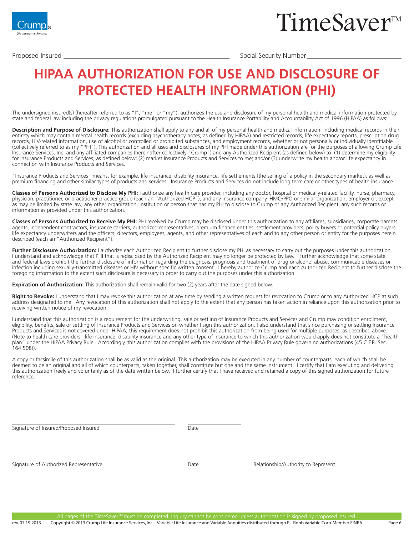

Proposed Insured Social Security Number

### **HIPAA AUTHORIZATION FOR USE AND DISCLOSURE OF PROTECTED HEALTH INFORMATION (PHI)**

The undersigned insured(s) (hereafter referred to as "I", "me" or "my"), authorizes the use and disclosure of my personal health and medical information protected by state and federal law including the privacy regulations promulgated pursuant to the Health Insurance Portability and Accountability Act of 1996 (HIPAA) as follows:

**Description and Purpose of Disclosure:** This authorization shall apply to any and all of my personal health and medical information, including medical records in their entirety which may contain mental health records (excluding psychotherapy notes, as defined by HIPAA) and restricted records, life expectancy reports, prescription drug records, HIV-related information, use of alcohol or controlled or prohibited substances, and employment records, whether or not personally or individually identifiable (collectively referred to as my "PHI"). This authorization and all uses and disclosures of my PHI made under this authorization are for the purposes of allowing Crump Life Insurance Services, Inc. and any affiliated companies (hereinafter collectively "Crump") and any Authorized Recipient (as defined below) to: (1) determine my eligibility for Insurance Products and Services, as defined below; (2) market Insurance Products and Services to me; and/or (3) underwrite my health and/or life expectancy in connection with Insurance Products and Services.

"Insurance Products and Services" means, for example, life insurance, disability insurance, life settlements (the selling of a policy in the secondary market), as well as premium financing and other similar types of products and services. Insurance Products and Services do not include long term care or other types of health insurance.

**Classes of Persons Authorized to Disclose My PHI:** I authorize any health care provider, including any doctor, hospital or medically-related facility, nurse, pharmacy, physician, practitioner, or practitioner practice group (each an "Authorized HCP"), and any insurance company, HMO/PPO or similar organization, employer or, except as may be limited by state law, any other organization, institution or person that has my PHI to disclose to Crump or any Authorized Recipient, any such records or information as provided under this authorization.

**Classes of Persons Authorized to Receive My PHI:** PHI received by Crump may be disclosed under this authorization to any affiliates, subsidiaries, corporate parents, agents, independent contractors, insurance carriers, authorized representatives, premium finance entities, settlement providers, policy buyers or potential policy buyers, life expectancy underwriters and the officers, directors, employees, agents, and other representatives of each and to any other person or entity for the purposes herein described (each an "Authorized Recipient").

**Further Disclosure Authorization:** I authorize each Authorized Recipient to further disclose my PHI as necessary to carry out the purposes under this authorization. I understand and acknowledge that PHI that is redisclosed by the Authorized Recipient may no longer be protected by law. I further acknowledge that some state and federal laws prohibit the further disclosure of information regarding the diagnosis, prognosis and treatment of drug or alcohol abuse, communicable diseases or infection including sexually-transmitted diseases or HIV without specific written consent. I hereby authorize Crump and each Authorized Recipient to further disclose the foregoing information to the extent such disclosure is necessary in order to carry out the purposes under this authorization.

**Expiration of Authorization:** This authorization shall remain valid for two (2) years after the date signed below.

Right to Revoke: I understand that I may revoke this authorization at any time by sending a written request for revocation to Crump or to any Authorized HCP at such address designated to me. Any revocation of this authorization shall not apply to the extent that any person has taken action in reliance upon this authorization prior to receiving written notice of my revocation.

I understand that this authorization is a requirement for the underwriting, sale or settling of Insurance Products and Services and Crump may condition enrollment, eligibility, benefits, sale or settling of Insurance Products and Services on whether I sign this authorization. I also understand that since purchasing or settling Insurance Products and Services is not covered under HIPAA, this requirement does not prohibit this authorization from being used for multiple purposes, as described above. (Note to health care providers: life insurance, disability insurance and any other type of insurance to which this authorization would apply does not constitute a "health plan" under the HIPAA Privacy Rule. Accordingly, this authorization complies with the provisions of the HIPAA Privacy Rule governing authorizations (45 C.F.R. Sec. 164.508)).

A copy or facsimile of this authorization shall be as valid as the original. This authorization may be executed in any number of counterparts, each of which shall be deemed to be an original and all of which counterparts, taken together, shall constitute but one and the same instrument. I certify that I am executing and delivering this authorization freely and voluntarily as of the date written below. I further certify that I have received and retained a copy of this signed authorization for future reference.

Signature of Insured/Proposed Insured

Date

Signature of Authorized Representative

Date Relationship/Authority to Represent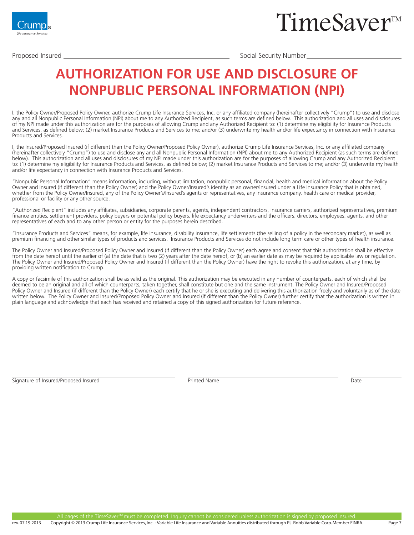

Proposed Insured Social Security Number

### **AUTHORIZATION FOR USE AND DISCLOSURE OF NONPUBLIC PERSONAL INFORMATION (NPI)**

I, the Policy Owner/Proposed Policy Owner, authorize Crump Life Insurance Services, Inc. or any affiliated company (hereinafter collectively "Crump") to use and disclose any and all Nonpublic Personal Information (NPI) about me to any Authorized Recipient, as such terms are defined below. This authorization and all uses and disclosures of my NPI made under this authorization are for the purposes of allowing Crump and any Authorized Recipient to: (1) determine my eligibility for Insurance Products and Services, as defined below; (2) market Insurance Products and Services to me; and/or (3) underwrite my health and/or life expectancy in connection with Insurance Products and Services.

I, the Insured/Proposed Insured (if different than the Policy Owner/Proposed Policy Owner), authorize Crump Life Insurance Services, Inc. or any affiliated company (hereinafter collectively "Crump") to use and disclose any and all Nonpublic Personal Information (NPI) about me to any Authorized Recipient (as such terms are defined below). This authorization and all uses and disclosures of my NPI made under this authorization are for the purposes of allowing Crump and any Authorized Recipient to: (1) determine my eligibility for Insurance Products and Services, as defined below; (2) market Insurance Products and Services to me; and/or (3) underwrite my health and/or life expectancy in connection with Insurance Products and Services.

"Nonpublic Personal Information" means information, including, without limitation, nonpublic personal, financial, health and medical information about the Policy Owner and Insured (if different than the Policy Owner) and the Policy Owner/Insured's identity as an owner/insured under a Life Insurance Policy that is obtained, whether from the Policy Owner/Insured, any of the Policy Owner's/Insured's agents or representatives, any insurance company, health care or medical provider, professional or facility or any other source.

"Authorized Recipient" includes any affiliates, subsidiaries, corporate parents, agents, independent contractors, insurance carriers, authorized representatives, premium finance entities, settlement providers, policy buyers or potential policy buyers, life expectancy underwriters and the officers, directors, employees, agents, and other representatives of each and to any other person or entity for the purposes herein described.

"Insurance Products and Services" means, for example, life insurance, disability insurance, life settlements (the selling of a policy in the secondary market), as well as premium financing and other similar types of products and services. Insurance Products and Services do not include long term care or other types of health insurance.

The Policy Owner and Insured/Proposed Policy Owner and Insured (if different than the Policy Owner) each agree and consent that this authorization shall be effective from the date hereof until the earlier of (a) the date that is two (2) years after the date hereof, or (b) an earlier date as may be required by applicable law or regulation. The Policy Owner and Insured/Proposed Policy Owner and Insured (if different than the Policy Owner) have the right to revoke this authorization, at any time, by providing written notification to Crump.

A copy or facsimile of this authorization shall be as valid as the original. This authorization may be executed in any number of counterparts, each of which shall be deemed to be an original and all of which counterparts, taken together, shall constitute but one and the same instrument. The Policy Owner and Insured/Proposed Policy Owner and Insured (if different than the Policy Owner) each certify that he or she is executing and delivering this authorization freely and voluntarily as of the date written below. The Policy Owner and Insured/Proposed Policy Owner and Insured (if different than the Policy Owner) further certify that the authorization is written in plain language and acknowledge that each has received and retained a copy of this signed authorization for future reference.

Signature of Insured/Proposed Insured **Printed Name** Printed Name **Date** Printed Name **Date**